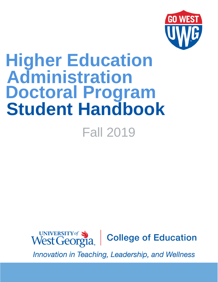

# Fall 2019 **Higher Education Administration Doctoral Program Student Handbook**



Innovation in Teaching, Leadership, and Wellness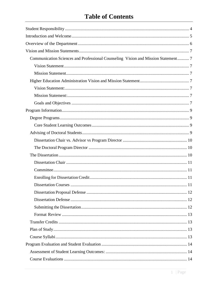# **Table of Contents**

| Communication Sciences and Professional Counseling Vision and Mission Statement 7 |
|-----------------------------------------------------------------------------------|
|                                                                                   |
|                                                                                   |
|                                                                                   |
|                                                                                   |
|                                                                                   |
|                                                                                   |
|                                                                                   |
|                                                                                   |
|                                                                                   |
|                                                                                   |
|                                                                                   |
|                                                                                   |
|                                                                                   |
|                                                                                   |
|                                                                                   |
|                                                                                   |
| 11                                                                                |
|                                                                                   |
|                                                                                   |
|                                                                                   |
|                                                                                   |
|                                                                                   |
|                                                                                   |
|                                                                                   |
|                                                                                   |
|                                                                                   |
|                                                                                   |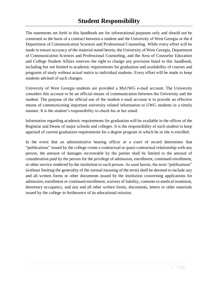<span id="page-4-0"></span>The statements set forth in this handbook are for informational purposes only and should not be construed as the basis of a contract between a student and the University of West Georgia or the d Department of Communication Sciences and Professional Counseling. While every effort will be made to ensure accuracy of the material stated herein, the University of West Georgia, Department of Communication Sciences and Professional Counseling, and the Area of Counselor Education and College Student Affairs reserves the right to change any provision listed in this handbook, including but not limited to academic requirements for graduation and availability of courses and programs of study without actual notice to individual students. Every effort will be made to keep students advised of such changes.

University of West Georgia students are provided a MyUWG e-mail account. The University considers this account to be an official means of communication between the University and the student. The purpose of the official use of the student e-mail account is to provide an effective means of communicating important university related information to UWG students in a timely manner. It is the student's responsibility to check his or her email.

Information regarding academic requirements for graduation will be available in the offices of the Registrar and Deans of major schools and colleges. It is the responsibility of each student to keep apprised of current graduation requirements for a degree program in which he or she is enrolled.

In the event that an administrative hearing officer or a court of record determines that "publications" issued by the college create a contractual or quasi-contractual relationship with any person, the amount of damages recoverable by the parties shall be limited to the amount of consideration paid by the person for the privilege of admission, enrollment, continued enrollment, or other service rendered by the institution to such person. As used herein, the term "publications" (without limiting the generality of the normal meaning of the term) shall be deemed to include any and all written forms or other documents issued by the institution concerning applications for admission, enrollment or continued enrollment, waivers of liability, consents to medical treatment, dormitory occupancy, and any and all other written forms, documents, letters or other materials issued by the college in furtherance of its educational mission.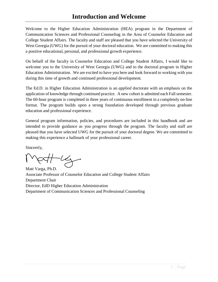# **Introduction and Welcome**

<span id="page-5-0"></span>Welcome to the Higher Education Administration (HEA) program in the Department of Communication Sciences and Professional Counseling in the Area of Counselor Education and College Student Affairs. The faculty and staff are pleased that you have selected the University of West Georgia (UWG) for the pursuit of your doctoral education. We are committed to making this a positive educational, personal, and professional growth experience.

On behalf of the faculty in Counselor Education and College Student Affairs, I would like to welcome you to the University of West Georgia (UWG) and to the doctoral program in Higher Education Administration. We are excited to have you here and look forward to working with you during this time of growth and continued professional development.

The Ed.D. in Higher Education Administration is an *applied* doctorate with an emphasis on the application of knowledge through continued practice. A new cohort is admitted each Fallsemester. The 60-hour program is completed in three years of continuous enrollment in a completely on-line format. The program builds upon a strong foundation developed through previous graduate education and professional experience.

General program information, policies, and procedures are included in this handbook and are intended to provide guidance as you progress through the program. The faculty and staff are pleased that you have selected UWG for the pursuit of your doctoral degree. We are committed to making this experience a hallmark of your professional career.

Sincerely,

Matt Varga, Ph.D.

Associate Professor of Counselor Education and College Student Affairs Department Chair Director, EdD Higher Education Administration Department of Communication Sciences and Professional Counseling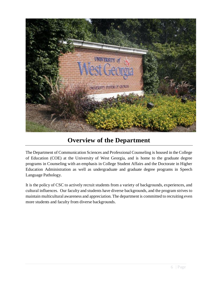

# **Overview of the Department**

<span id="page-6-0"></span>The Department of Communication Sciences and Professional Counseling is housed in the College of Education (COE) at the University of West Georgia, and is home to the graduate degree programs in Counseling with an emphasis in College Student Affairs and the Doctorate in Higher Education Administration as well as undergraduate and graduate degree programs in Speech Language Pathology.

It is the policy of CSC to actively recruit students from a variety of backgrounds, experiences, and cultural influences. Our faculty and students have diverse backgrounds, and the program strives to maintain multicultural awareness and appreciation. The department is committed to recruiting even more students and faculty from diverse backgrounds.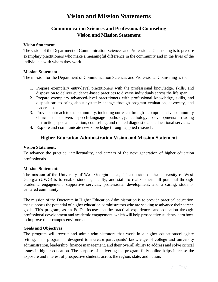# <span id="page-7-0"></span>**Communication Sciences and Professional Counseling Vision and Mission Statement**

#### <span id="page-7-2"></span><span id="page-7-1"></span>**Vision Statement**

The vision of the Department of Communication Sciences and Professional Counseling is to prepare exemplary practitioners who make a meaningful difference in the community and in the lives of the individuals with whom they work.

#### <span id="page-7-3"></span>**Mission Statement**

The mission for the Department of Communication Sciences and Professional Counseling is to:

- 1. Prepare exemplary entry-level practitioners with the professional knowledge, skills, and disposition to deliver evidence-based practices to diverse individuals across the life span.
- 2. Prepare exemplary advanced-level practitioners with professional knowledge, skills, and dispositions to bring about systemic change through program evaluation, advocacy, and leadership.
- 3. Provide outreach to the community, including outreach through a comprehensive community clinic that delivers speech-language pathology, audiology, developmental reading instruction, special education, counseling, and related diagnostic and educational services.
- 4. Explore and communicate new knowledge through applied research.

# **Higher Education Administration Vision and Mission Statement**

#### <span id="page-7-5"></span><span id="page-7-4"></span>**Vision Statement:**

To advance the practice, intellectuality, and careers of the next generation of higher education professionals.

#### <span id="page-7-6"></span>**Mission Stat**e**ment:**

The mission of the University of West Georgia states, "The mission of the University of West Georgia (UWG) is to enable students, faculty, and staff to realize their full potential through academic engagement, supportive services, professional development, and a caring, studentcentered community."

The mission of the Doctorate in Higher Education Administration is to provide practical education that supports the potential of higher education administrators who are seeking to advance their career goals. This program, as an Ed.D., focuses on the practical experiences and education through professional development and academic engagement, which will help prospective students learn how to improve their campus environment.

#### <span id="page-7-7"></span>**Goals and Objectives**

The program will recruit and admit administrators that work in a higher education/collegiate setting. The program is designed to increase participants' knowledge of college and university administration, leadership, finance management, and their overall ability to address and solve critical issues in higher education. The purpose of delivering the program fully online helps increase the exposure and interest of prospective students across the region, state, and nation.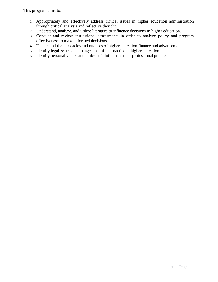This program aims to:

- 1. Appropriately and effectively address critical issues in higher education administration through critical analysis and reflective thought.
- 2. Understand, analyze, and utilize literature to influence decisions in higher education.
- 3. Conduct and review institutional assessments in order to analyze policy and program effectiveness to make informed decisions.
- 4. Understand the intricacies and nuances of higher education finance and advancement.
- 5. Identify legal issues and changes that affect practice in higher education.
- 6. Identify personal values and ethics as it influences their professional practice.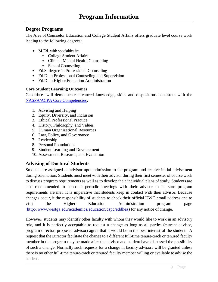# <span id="page-9-1"></span><span id="page-9-0"></span>**Degree Programs**

The Area of Counselor Education and College Student Affairs offers graduate level course work leading to the following degrees:

- M.Ed. with specialties in:
	- o College Student Affairs
	- o Clinical Mental Health Counseling
	- o School Counseling
- Ed.S. degree in Professional Counseling
- Ed.D. in Professional Counseling and Supervision
- Ed.D. in Higher Education Administration

#### <span id="page-9-2"></span>**Core Student Learning Outcomes**

Candidates will demonstrate advanced knowledge, skills and dispositions consistent with the [NASPA/ACPA Core Competencies:](https://www.naspa.org/images/uploads/main/Professional_Competencies.pdf)

- 1. Advising and Helping
- 2. Equity, Diversity, and Inclusion
- 3. Ethical Professional Practice
- 4. History, Philosophy, and Values
- 5. Human Organizational Resources
- 6. Law, Policy, and Governance
- 7. Leadership
- 8. Personal Foundations
- 9. Student Learning and Development
- 10. Assessment, Research, and Evaluation

# <span id="page-9-3"></span>**Advising of Doctoral Students**

Students are assigned an advisor upon admission to the program and receive initial advisement during orientation. Students must meet with their advisor during their first semester of course work to discuss program requirements as well as to develop their individual plans of study. Students are also recommended to schedule periodic meetings with their advisor to be sure program requirements are met. It is imperative that students keep in contact with their advisor. Because changes occur, it the responsibility of students to check their official UWG email address and to visit the Higher Education Administration program page [\(http://www.westga.edu/academics/education/cspc/eddhea\)](http://www.westga.edu/academics/education/cspc/eddhea) for any notice of change.

However, students may identify other faculty with whom they would like to work in an advisory role, and it is perfectly acceptable to request a change as long as all parties (current advisor, program director, proposed advisor) agree that it would be in the best interest of the student. A request that the Director facilitate the change to a different full-time tenure-track or tenured faculty member in the program may be made after the advisor and student have discussed the possibility of such a change. Normally such requests for a change in faculty advisors will be granted unless there is no other full-time tenure-track or tenured faculty member willing or available to advise the student.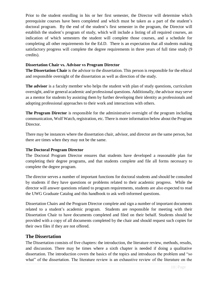Prior to the student enrolling in his or her first semester, the Director will determine which prerequisite courses have been completed and which must be taken as a part of the student's doctoral program. By the end of the student's first semester in the program, the Director will establish the student's program of study, which will include a listing of all required courses, an indication of which semesters the student will complete those courses, and a schedule for completing all other requirements for the Ed.D. There is an expectation that all students making satisfactory progress will complete the degree requirements in three years of full time study (9 credits).

#### <span id="page-10-0"></span>**Dissertation Chair vs. Advisor vs Program Director**

**The Dissertation Chair** is the advisor to the dissertation. This person is responsible for the ethical and responsible oversight of the dissertation as well as direction of the study.

**The advisor** is a faculty member who helps the student with plan of study questions, curriculum oversight, and/or general academic and professional questions. Additionally, the advisor may serve as a mentor for students by assisting them by further developing their identity as professionals and adopting professional approaches to their work and interactions with others.

**The Program Director** is responsible for the administrative oversight of the program including communication, Wolf Watch, registration, etc. There is more information below about the Program Director.

There may be instances where the dissertation chair, advisor, and director are the same person, but there are times when they may not be the same.

#### <span id="page-10-1"></span>**The Doctoral Program Director**

The Doctoral Program Director ensures that students have developed a reasonable plan for completing their degree programs, and that students complete and file all forms necessary to complete the degree program.

The director serves a number of important functions for doctoral students and should be consulted by students if they have questions or problems related to their academic progress. While the director will answer questions related to program requirements, students are also expected to read the UWG Graduate Catalog and this handbook to ask well-informed questions.

Dissertation Chairs and the Program Director complete and sign a number of important documents related to a student's academic program. Students are responsible for meeting with their Dissertation Chair to have documents completed and filed on their behalf. Students should be provided with a copy of all documents completed by the chair and should request such copies for their own files if they are not offered.

# <span id="page-10-2"></span>**The Dissertation**

The Dissertation consists of five chapters: the introduction, the literature review, methods, results, and discussion. There may be times where a sixth chapter is needed if doing a qualitative dissertation. The introduction covers the basics of the topics and introduces the problem and "so what" of the dissertation. The literature review is an exhaustive review of the literature on the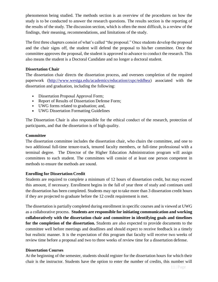phenomenon being studied. The methods section is an overview of the procedures on how the study is to be conducted to answer the research questions. The results section is the reporting of the results of the study. The discussion section, which is often the most difficult, is a review of the findings, their meaning, recommendations, and limitations of the study.

The first three chapters consist of what's called "the proposal." Once students develop the proposal and the chair signs off, the student will defend the proposal to his/her committee. Once the committee approves the proposal, the student is approved to advance to conduct the research. This also means the student is a Doctoral Candidate and no longer a doctoral student.

#### <span id="page-11-0"></span>**Dissertation Chair**

The dissertation chair directs the dissertation process, and oversees completion of the required paperwork [\(http://www.westga.edu/academics/education/cspc/eddhea\)](http://www.westga.edu/academics/education/cspc/eddhea) associated with the dissertation and graduation, including the following:

- Dissertation Proposal Approval Form;
- Report of Results of Dissertation Defense Form;
- UWG forms related to graduation; and,
- UWG Dissertation Formatting Guidelines

The Dissertation Chair is also responsible for the ethical conduct of the research, protection of participants, and that the dissertation is of high quality.

#### <span id="page-11-1"></span>**Committee**

The dissertation committee includes the dissertation chair, who chairs the committee, and one to two additional full-time tenure-track, tenured faculty members, or full-time professional with a terminal degree. The Director of the Higher Education Administration program will assign committees to each student. The committees will consist of at least one person competent in methods to ensure the methods are sound.

#### <span id="page-11-2"></span>**Enrolling for Dissertation Credit**

Students are required to complete a minimum of 12 hours of dissertation credit, but may exceed this amount, if necessary. Enrollment begins in the fall of year three of study and continues until the dissertation has been completed. Students may opt to take more than 3 dissertation credit hours if they are projected to graduate before the 12 credit requirement is met.

The dissertation is partially completed during enrollment in specific courses and is viewed at UWG as a collaborative process. **Students are responsible for initiating communication and working collaboratively with the dissertation chair and committee in identifying goals and timelines for the completion of the dissertation.** Students are also expected to provide documents to the committee well before meetings and deadlines and should expect to receive feedback in a timely but realistic manner. It is the expectation of this program that faculty will receive two weeks of review time before a proposal and two to three weeks of review time for a dissertation defense.

#### <span id="page-11-3"></span>**Dissertation Courses**

At the beginning of the semester, students should register for the dissertation hours for which their chair is the instructor. Students have the option to enter the number of credits, this number will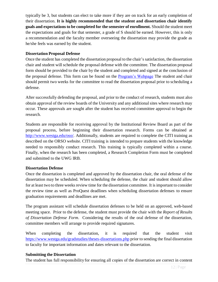typically be 3, but students can elect to take more if they are on track for an early completion of their dissertation. **It is highly recommended that the student and dissertation chair identify goals and expectations to be completed for the semester of enrollment.** Should the student meet the expectations and goals for that semester, a grade of S should be earned. However, this is only a recommendation and the faculty member overseeing the dissertation may provide the grade as he/she feels was earned by the student.

#### <span id="page-12-0"></span>**Dissertation Proposal Defense**

Once the student has completed the dissertation proposal to the chair's satisfaction, the dissertation chair and student will schedule the proposal defense with the committee. The dissertation proposal form should be provided to the chair by the student and completed and signed at the conclusion of the proposal defense. This form can be found on the [Program's Webpage](https://www.westga.edu/academics/education/cspc/eddhea/forms.php) The student and chair should permit two weeks for the committee to read the dissertation proposal prior to scheduling a defense.

After successfully defending the proposal, and prior to the conduct of research, students must also obtain approval of the review boards of the University and any additional sites where research may occur. These approvals are sought after the student has received committee approval to begin the research.

Students are responsible for receiving approval by the Institutional Review Board as part of the proposal process, before beginning their dissertation research. Forms can be obtained at [http://www.westga.edu/oso/.](http://www.westga.edu/oso/) Additionally, students are required to complete the CITI training as described on the ORSO website. CITI training is intended to prepare students with the knowledge needed to responsibly conduct research. This training is typically completed within a course. Finally, when the research has been completed, a Research Completion Form must be completed and submitted to the UWG IRB.

#### <span id="page-12-1"></span>**Dissertation Defense**

Once the dissertation is completed and approved by the dissertation chair, the oral defense of the dissertation may be scheduled. When scheduling the defense, the chair and student should allow for at least two to three weeks review time for the dissertation committee. It is important to consider the review time as well as ProQuest deadlines when scheduling dissertation defenses to ensure graduation requirements and deadlines are met.

The program assistant will schedule dissertation defenses to be held on an approved, web-based meeting space. Prior to the defense, the student must provide the chair with the *Report of Results of Dissertation Defense Form*. Considering the results of the oral defense of the dissertation, committee members will arrange to provide required signatures.

When completing the dissertation, it is required that the student visit <https://www.westga.edu/gradstudies/theses-dissertations.php> prior to sending the final dissertation to faculty for important information and dates relevant to the dissertation.

#### <span id="page-12-2"></span>**Submitting the Dissertation**

The student has full responsibility for ensuring all copies of the dissertation are correct in content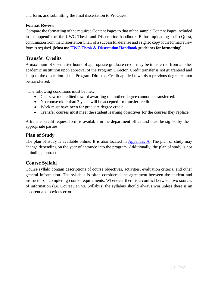and form, and submitting the final dissertation to ProQuest.

### <span id="page-13-0"></span>**Format Review**

Compare the formatting of the required Content Pages to that of the sample Content Pages included in the appendix of the UWG Thesis and Dissertation handbook. Before uploading to ProQuest, confirmation from the Dissertation Chair of a successful defense and a signed copy of the format review form isrequired. **(Must use UWG Thesis [& Dissertation](https://www.westga.edu/academics/gradstudies/assets-gradstudies/docs/UWG_Thesis_Dissertation_Formatting_June2015.pdf) Handbook guidelinesfor formatting)**

# <span id="page-13-1"></span>**Transfer Credits**

A maximum of 6 semester hours of appropriate graduate credit may be transferred from another academic institution upon approval of the Program Director. Credit transfer is not guaranteed and is up to the discretion of the Program Director. Credit applied towards a previous degree cannot be transferred.

The following conditions must be met:

- Coursework credited toward awarding of another degree cannot be transferred.
- No course older than 7 years will be accepted for transfer credit
- Work must have been for graduate degree credit
- Transfer courses must meet the student learning objectives for the courses they replace

A transfer credit request form is available in the department office and must be signed by the appropriate parties.

# <span id="page-13-2"></span>**Plan of Study**

The plan of study is available online. It is also located in [Appendix A.](#page-20-0) The plan of study may change depending on the year of entrance into the program. Additionally, the plan of study is not a binding contract.

# <span id="page-13-3"></span>**Course Syllabi**

Course syllabi contain descriptions of course objectives, activities, evaluation criteria, and other general information. The syllabus is often considered the agreement between the student and instructor on completing course requirements. Whenever there is a conflict between two sources of information (i.e. CourseDen vs. Syllabus) the syllabus should always win unless there is an apparent and obvious error.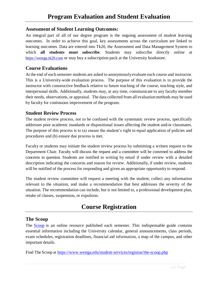## <span id="page-14-1"></span><span id="page-14-0"></span>**Assessment of Student Learning Outcomes:**

An integral part of all of our degree program is the ongoing assessment of student learning outcomes. In order to achieve this goal, key assessments across the curriculum are linked to learning outcomes. Data are entered into Tk20, the Assessment and Data Management System to which **all students must subscribe**. Students may subscribe directly online at [https://westga.tk20.com](https://westga.tk20.com/) or may buy a subscription pack at the University bookstore.

# <span id="page-14-2"></span>**Course Evaluations**

At the end of each semester students are asked to anonymously evaluate each course and instructor. This is a University-wide evaluation process. The purpose of this evaluation is to provide the instructor with constructive feedback relative to future teaching of the course, teaching style, and interpersonal skills. Additionally, students may, at any time, communicate to any faculty member their needs, observations, or appraisal. The data collected from all evaluationmethods may be used by faculty for continuous improvement of the program.

## <span id="page-14-3"></span>**Student Review Process**

The student review process, not to be confused with the systematic review process, specifically addresses poor academic standards or dispositional issues affecting the student and/or classmates. The purpose of this process is to (a) ensure the student's right to equal application of policies and procedures and (b) ensure due process is met.

Faculty or students may initiate the student review process by submitting a written request to the Department Chair. Faculty will discuss the request and a committee will be convened to address the concerns in question. Students are notified in writing by email if under review with a detailed description indicating the concerns and reason for review. Additionally, if under review, students will be notified of the process for responding and given an appropriate opportunity to respond.

The student review committee will request a meeting with the student, collect any information relevant to the situation, and make a recommendation that best addresses the severity of the situation. The recommendation can include, but is not limited to, a professional development plan, retake of classes, suspension, or expulsion.

# **Course Registration**

# <span id="page-14-5"></span><span id="page-14-4"></span>**The Scoop**

The [Scoop](https://www.westga.edu/student-services/registrar/the-scoop.php) is an online resource published each semester. This indispensable guide contains essential information including the University calendar, general announcements, class periods, exam schedules, registration deadlines, financial aid information, a map of the campus, and other important details.

Find The Scoop at <https://www.westga.edu/student-services/registrar/the-scoop.php>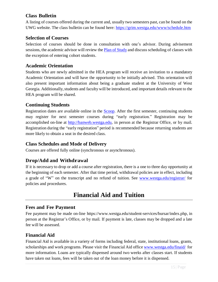# <span id="page-15-0"></span>**Class Bulletin**

A listing of courses offered during the current and, usually two semesters past, can be found on the UWG website. The class bulletin can be found here:<https://grim.westga.edu/www/schedule.htm>

# <span id="page-15-1"></span>**Selection of Courses**

Selection of courses should be done in consultation with one's advisor. During advisement sessions, the academic advisor will review the Plan of [Study](#page-20-0) and discuss scheduling of classes with the exception of entering cohort students.

## <span id="page-15-2"></span>**Academic Orientation**

Students who are newly admitted in the HEA program will receive an invitation to a mandatory Academic Orientation and will have the opportunity to be initially advised. This orientation will also present important information about being a graduate student at the University of West Georgia. Additionally, students and faculty will be introduced, and important details relevant to the HEA program will be shared.

# <span id="page-15-3"></span>**Continuing Students**

Registration dates are available online in the [Scoop.](https://www.westga.edu/student-services/registrar/the-scoop.php) After the first semester, continuing students may register for next semester courses during "early registration." Registration may be accomplished on-line at [http://banweb.westga.edu,](http://banweb.westga.edu/) in person at the Registrar Office, or by mail. Registration during the "early registration" period is recommended because returning students are more likely to obtain a seat in the desired class.

# <span id="page-15-4"></span>**Class Schedules and Mode of Delivery**

Courses are offered fully online (synchronous or asynchronous).

# <span id="page-15-5"></span>**Drop/Add and Withdrawal**

If it is necessary to drop or add a course after registration, there is a one to three day opportunity at the beginning of each semester. After that time period, withdrawal policies are in effect, including a grade of "W" on the transcript and no refund of tuition. See [www.westga.edu/registrar/](http://www.westga.edu/registrar) for policies and procedures.

# **Financial Aid and Tuition**

#### <span id="page-15-7"></span><span id="page-15-6"></span>**Fees and Fee Payment**

Fee payment may be made on-line https://www.westga.edu/student-services/bursar/index.php, in person at the Registrar's Office, or by mail. If payment is late, classes may be dropped and a late fee will be assessed.

#### <span id="page-15-8"></span>**Financial Aid**

Financial Aid is available in a variety of forms including federal, state, institutional loans, grants, scholarships and work programs. Please visit the Financial Aid office [www.westga.edu/finaid/](http://www.westga.edu/finaid/) for more information. Loans are typically dispensed around two weeks after classes start. If students have taken out loans, fees will be taken out of the loan money before it is dispensed.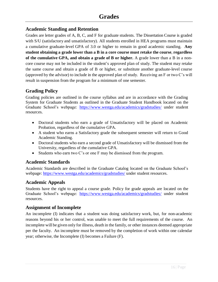# <span id="page-16-1"></span><span id="page-16-0"></span>**Academic Standing and Retention**

Grades are letter grades of A, B, C, and F for graduate students. The Dissertation Course is graded with S/U (satisfactory and unsatisfactory). All students enrolled in HEA programs must maintain a cumulative graduate-level GPA of 3.0 or higher to remain in good academic standing. **Any student obtaining a grade lower than a B in a core course must retake the course**, **regardless of the cumulative GPA, and obtain a grade of B or higher.** A grade lower than a B in a noncore course may not be included in the student's approved plan of study. The student may retake the same course and obtain a grade of B or higher, or substitute another graduate-level course (approved by the advisor) to include in the approved plan of study. Receiving an F or two C's will result in suspension from the program for a minimum of one semester.

# <span id="page-16-2"></span>**Grading Policy**

Grading policies are outlined in the course syllabus and are in accordance with the Grading System for Graduate Students as outlined in the Graduate Student Handbook located on the Graduate School's webpage: <https://www.westga.edu/academics/gradstudies/> under student resources.

- Doctoral students who earn a grade of Unsatisfactory will be placed on Academic Probation, regardless of the cumulative GPA.
- A student who earns a Satisfactory grade the subsequent semester will return to Good Academic Standing.
- Doctoral students who earn a second grade of Unsatisfactory will be dismissed from the University, regardless of the cumulative GPA.
- Students who earn two C's or one F may be dismissed from the program.

# <span id="page-16-3"></span>**Academic Standards**

Academic Standards are described in the Graduate Catalog located on the Graduate School's webpage:<https://www.westga.edu/academics/gradstudies/> under student resources.

# <span id="page-16-4"></span>**Academic Appeals**

Students have the right to appeal a course grade. Policy for grade appeals are located on the Graduate School's webpage: <https://www.westga.edu/academics/gradstudies/> under student resources.

# <span id="page-16-5"></span>**Assignment of Incomplete**

An incomplete (I) indicates that a student was doing satisfactory work, but, for non-academic reasons beyond his or her control, was unable to meet the full requirements of the course. An incomplete will be given only for illness, death in the family, or other instances deemed appropriate per the faculty. An incomplete must be removed by the completion of work within one calendar year; otherwise, the Incomplete (I) becomes a Failure (F).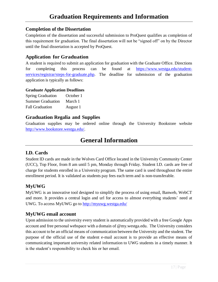# <span id="page-17-1"></span><span id="page-17-0"></span>**Completion of the Dissertation**

Completion of the dissertation and successful submission to ProQuest qualifies as completion of this requirement for graduation. The final dissertation will not be "signed off" on by the Director until the final dissertation is accepted by ProQuest.

# <span id="page-17-2"></span>**Application for Graduation**

A student is required to submit an application for graduation with the Graduate Office. Directions for completing this process can be found at [https://www.westga.edu/student](https://www.westga.edu/student-services/registrar/steps-for-graduate.php)[services/registrar/steps-for-graduate.php.](https://www.westga.edu/student-services/registrar/steps-for-graduate.php) The deadline for submission of the graduation application is typically as follows:

#### <span id="page-17-3"></span>**Graduate Application Deadlines**

| <b>Spring Graduation</b> | October 1 |
|--------------------------|-----------|
| <b>Summer Graduation</b> | March 1   |
| <b>Fall Graduation</b>   | August 1  |

# <span id="page-17-4"></span>**Graduation Regalia and Supplies**

Graduation supplies may be ordered online through the University Bookstore website [http://www.bookstore.westga.edu/.](http://www.bookstore.westga.edu/)

# **General Information**

# <span id="page-17-6"></span><span id="page-17-5"></span>**I.D. Cards**

Student ID cards are made in the Wolves Card Office located in the University Community Center (UCC), Top Floor, from 8 am until 5 pm, Monday through Friday. Student I.D. cards are free of charge for students enrolled in a University program. The same card is used throughout the entire enrollment period. It is validated as students pay fees each term and is non-transferable.

# <span id="page-17-7"></span>**MyUWG**

MyUWG is an innovative tool designed to simplify the process of using email, Banweb, WebCT and more. It provides a central login and url for access to almost everything students' need at UWG. To access MyUWG go to<http://myuwg.westga.edu/>

# <span id="page-17-8"></span>**MyUWG email account**

Upon admission to the university every student is automatically provided with a free Google Apps account and free personal webspace with a domain of @my.westga.edu. The University considers this account to be an official means of communication between the University and the student. The purpose of the official use of the student e-mail account is to provide an effective means of communicating important university related information to UWG students in a timely manner. It is the student's responsibility to check his or her email.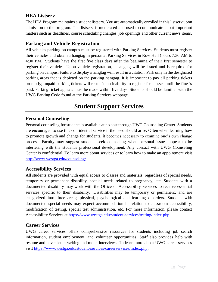# <span id="page-18-0"></span>**HEA Listserv**

The HEA Program maintains a student listserv. You are automatically enrolled in this listserv upon admission to the program. The listserv is moderated and used to communicate about important matters such as deadlines, course scheduling changes, job openings and other current news items.

# <span id="page-18-1"></span>**Parking and Vehicle Registration**

All vehicles parking on campus must be registered with Parking Services. Students must register their vehicles and obtain a hangtag in person at Parking Services in Row Hall (hours 7:30 AM to 4:30 PM). Students have the first five class days after the beginning of their first semester to register their vehicles. Upon vehicle registration, a hangtag will be issued and is required for parking on campus. Failure to display a hangtag will result in a citation. Park only in the designated parking areas that is depicted on the parking hangtag. It is important to pay all parking tickets promptly; unpaid parking tickets will result in an inability to register for classes until the fine is paid. Parking ticket appeals must be made within five days. Students should be familiar with the UWG Parking Code found at the Parking Services webpage.

# **Student Support Services**

# <span id="page-18-3"></span><span id="page-18-2"></span>**Personal Counseling**

Personal counseling for students is available at no cost through UWG Counseling Center. Students are encouraged to use this confidential service if the need should arise. Often when learning how to promote growth and change for students, it becomes necessary to examine one's own change process. Faculty may suggest students seek counseling when personal issues appear to be interfering with the student's professional development. Any contact with UWG Counseling Center is confidential. To learn more about services or to learn how to make an appointment visit [http://www.westga.edu/counseling/.](http://www.westga.edu/counseling/)

# <span id="page-18-4"></span>**Accessibility Services**

All students are provided with equal access to classes and materials, regardless of special needs, temporary or permanent disability, special needs related to pregnancy, etc. Students with a documented disability may work with the Office of Accessibility Services to receive essential services specific to their disability. Disabilities may be temporary or permanent, and are categorized into three areas; physical, psychological and learning disorders. Students with documented special needs may expect accommodation in relation to classroom accessibility, modification of testing, special test administration, etc. For more information, please contact Accessibility Services at [https://www.westga.edu/student-services/testing/index.php.](https://www.westga.edu/student-services/testing/index.php)

# <span id="page-18-5"></span>**Career Services**

UWG career services offers comprehensive resources for students including job search information, student employment, and volunteer opportunities. Staff also provides help with resume and cover letter writing and mock interviews. To learn more about UWG career services visit [https://www.westga.edu/student-services/careerservices/index.php.](https://www.westga.edu/student-services/careerservices/index.php)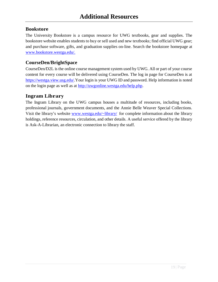# <span id="page-19-1"></span><span id="page-19-0"></span>**Bookstore**

The University Bookstore is a campus resource for UWG textbooks, gear and supplies. The bookstore website enables students to buy or sell used and new textbooks; find official UWG gear; and purchase software, gifts, and graduation supplies on-line. Search the bookstore homepage at [www.bookstore.westga.edu/.](http://www.bookstore.westga.edu/)

# <span id="page-19-2"></span>**CourseDen/BrightSpace**

CourseDen/D2L is the online course management system used by UWG. All or part of your course content for every course will be delivered using CourseDen. The log in page for CourseDen is at [https://westga.view.usg.edu/.](https://westga.view.usg.edu/)Your login is your UWG ID and password. Help information is noted on the login page as well as at [http://uwgonline.westga.edu/help.php.](http://uwgonline.westga.edu/help.php)

# <span id="page-19-3"></span>**Ingram Library**

The Ingram Library on the UWG campus houses a multitude of resources, including books, professional journals, government documents, and the Annie Belle Weaver Special Collections. Visit the library's website [www.westga.edu/~library/](http://www.westga.edu/~library/) for complete information about the library holdings, reference resources, circulation, and other details. A useful service offered by the library is Ask-A-Librarian, an electronic connection to library the staff.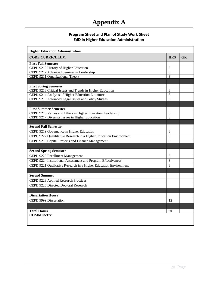# **Appendix A**

### **Program Sheet and Plan of Study Work Sheet EdD in Higher Education Administration**

<span id="page-20-0"></span>

| <b>CORE CURRICULUM</b>                                            | <b>HRS</b>     | <b>GR</b> |
|-------------------------------------------------------------------|----------------|-----------|
| <b>First Fall Semester</b>                                        |                |           |
| CEPD 9210 History of Higher Education                             | $\overline{3}$ |           |
| CEPD 9212 Advanced Seminar in Leadership                          | 3              |           |
| CEPD 9211 Organizational Theory                                   | 3              |           |
|                                                                   |                |           |
| <b>First Spring Semester</b>                                      |                |           |
| CEPD 9213 Critical Issues and Trends in Higher Education          | 3              |           |
| CEPD 9214 Analysis of Higher Education Literature                 | $\overline{3}$ |           |
| CEPD 9215 Advanced Legal Issues and Policy Studies                | $\overline{3}$ |           |
|                                                                   |                |           |
| <b>First Summer Semester</b>                                      |                |           |
| CEPD 9216 Values and Ethics in Higher Education Leadership        | 3              |           |
| CEPD 9217 Diversity Issues in Higher Education                    | 3              |           |
|                                                                   |                |           |
| <b>Second Fall Semester</b>                                       |                |           |
| CEPD 9219 Governance in Higher Education                          | 3              |           |
| CEPD 9222 Quantitative Research in a Higher Education Environment | 3              |           |
| CEPD 9218 Capital Projects and Finance Management                 | 3              |           |
|                                                                   |                |           |
| <b>Second Spring Semester</b>                                     |                |           |
| CEPD 9220 Enrollment Management                                   | 3              |           |
| CEPD 9224 Institutional Assessment and Program Effectiveness      | $\overline{3}$ |           |
| CEPD 9221 Qualitative Research in a Higher Education Environment  | $\mathcal{E}$  |           |
|                                                                   |                |           |
| <b>Second Summer</b>                                              |                |           |
| CEPD 9223 Applied Research Practices                              |                |           |
| CEPD 9225 Directed Doctoral Research                              |                |           |
|                                                                   |                |           |
| <b>Dissertation Hours</b>                                         |                |           |
| CEPD 9999 Dissertation                                            | 12             |           |
|                                                                   |                |           |
| <b>Total Hours</b>                                                | 60             |           |
| <b>COMMENTS:</b>                                                  |                |           |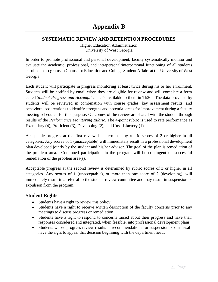# <span id="page-21-1"></span><span id="page-21-0"></span>**SYSTEMATIC REVIEW AND RETENTION PROCEDURES**

Higher Education Administration University of West Georgia

In order to promote professional and personal development, faculty systematically monitor and evaluate the academic, professional, and intrapersonal/interpersonal functioning of all students enrolled in programs in Counselor Education and College Student Affairs at the University of West Georgia.

Each student will participate in progress monitoring at least twice during his or her enrollment. Students will be notified by email when they are eligible for review and will complete a form called *Student Progress and Accomplishments* available to them in Tk20. The data provided by students will be reviewed in combination with course grades, key assessment results, and behavioral observations to identify strengths and potential areas for improvement during a faculty meeting scheduled for this purpose. Outcomes of the review are shared with the student through results of the *Performance Monitoring Rubric*. The 4-point rubric is used to rate performance as Exemplary (4), Proficient (3), Developing (2), and Unsatisfactory (1).

Acceptable progress at the first review is determined by rubric scores of 2 or higher in all categories. Any scores of 1 (unacceptable) will immediately result in a professional development plan developed jointly by the student and his/her advisor. The goal of the plan is remediation of the problem area. Continued participation in the program will be contingent on successful remediation of the problem area(s).

Acceptable progress at the second review is determined by rubric scores of 3 or higher in all categories. Any scores of 1 (unacceptable), or more than one score of 2 (developing), will immediately result in a referral to the student review committee and may result in suspension or expulsion from the program.

# <span id="page-21-2"></span>**Student Rights**

- Students have a right to review this policy
- Students have a right to receive written description of the faculty concerns prior to any meetings to discuss progress or remediation
- Students have a right to respond to concerns raised about their progress and have their responses considered and integrated, when feasible, into professional development plans
- Students whose progress review results in recommendations for suspension or dismissal have the right to appeal that decision beginning with the department head.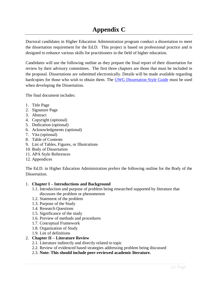# **Appendix C**

<span id="page-22-0"></span>Doctoral candidates in Higher Education Administration program conduct a dissertation to meet the dissertation requirement for the Ed.D. This project is based on professional practice and is designed to enhance various skills for practitioners in the field of higher education.

Candidates will use the following outline as they prepare the final report of their dissertation for review by their advisory committees. The first three chapters are those that must be included in the proposal. Dissertations are submitted electronically. Details will be made available regarding hardcopies for those who wish to obtain them. The [UWG Dissertation Style Guide](https://www.westga.edu/academics/gradstudies/assets-gradstudies/docs/UWG_Thesis_Dissertation_Formatting_June2015.pdf) must be used when developing the Dissertation.

The final document includes:

- 1. Title Page
- 2. Signature Page
- 3. Abstract
- 4. Copyright (optional)
- 5. Dedication (optional)
- 6. Acknowledgments (optional)
- 7. Vita (optional)
- 8. Table of Contents
- 9. List of Tables, Figures, or Illustrations
- 10. Body of Dissertation
- 11. APA Style References
- 12. Appendices

The Ed.D. in Higher Education Administration prefers the following outline for the Body of the Dissertation.

#### 1. **Chapter I – Introductions and Background**

- 1.1. Introduction and purpose of problem being researched supported by literature that discusses the problem or phenomenon
- 1.2. Statement of the problem
- 1.3. Purpose of the Study
- 1.4. Research Questions
- 1.5. Significance of the study
- 1.6. Preview of methods and procedures
- 1.7. Conceptual Framework
- 1.8. Organization of Study
- 1.9. List of definitions

#### 2. **Chapter II – Literature Review**

- 2.1. Literature indirectly and directly related to topic
- 2.2. Review of evidenced based strategies addressing problem being discussed
- 2.3. **Note: This should include peer-reviewed academic literature.**